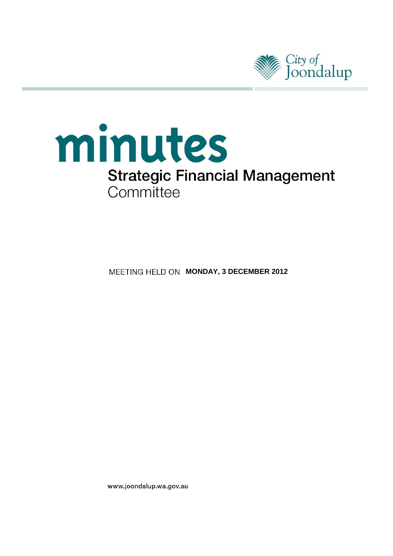

# minutes **Strategic Financial Management** Committee

**MEETING HELD ON MONDAY, 3 DECEMBER 2012** 

www.joondalup.wa.gov.au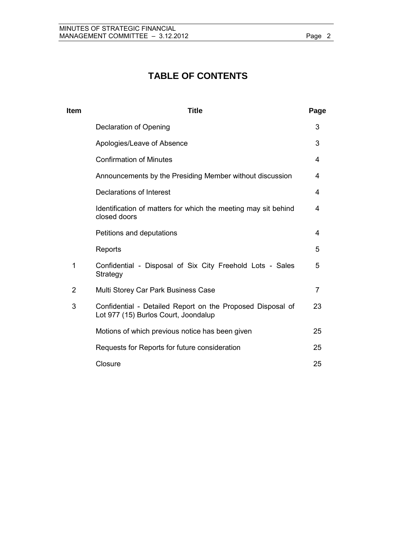# **TABLE OF CONTENTS**

| <b>Item</b>    | <b>Title</b>                                                                                       | Page           |
|----------------|----------------------------------------------------------------------------------------------------|----------------|
|                | Declaration of Opening                                                                             | 3              |
|                | Apologies/Leave of Absence                                                                         | 3              |
|                | <b>Confirmation of Minutes</b>                                                                     | 4              |
|                | Announcements by the Presiding Member without discussion                                           | 4              |
|                | Declarations of Interest                                                                           | 4              |
|                | Identification of matters for which the meeting may sit behind<br>closed doors                     | 4              |
|                | Petitions and deputations                                                                          | 4              |
|                | Reports                                                                                            | 5              |
| $\mathbf 1$    | Confidential - Disposal of Six City Freehold Lots - Sales<br>Strategy                              | 5              |
| $\overline{2}$ | Multi Storey Car Park Business Case                                                                | $\overline{7}$ |
| 3              | Confidential - Detailed Report on the Proposed Disposal of<br>Lot 977 (15) Burlos Court, Joondalup | 23             |
|                | Motions of which previous notice has been given                                                    | 25             |
|                | Requests for Reports for future consideration                                                      | 25             |
|                | Closure                                                                                            | 25             |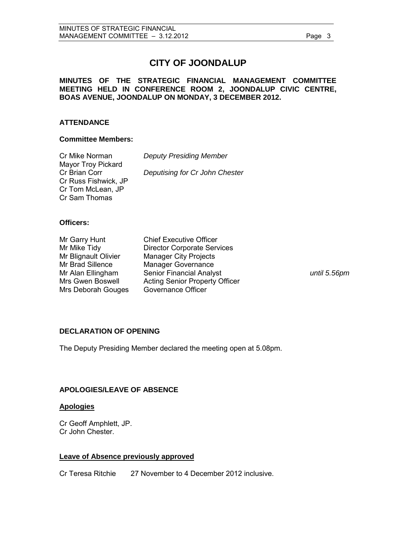## **CITY OF JOONDALUP**

## **MINUTES OF THE STRATEGIC FINANCIAL MANAGEMENT COMMITTEE MEETING HELD IN CONFERENCE ROOM 2, JOONDALUP CIVIC CENTRE, BOAS AVENUE, JOONDALUP ON MONDAY, 3 DECEMBER 2012.**

## **ATTENDANCE**

#### **Committee Members:**

| Cr Mike Norman       | <b>Deputy Presiding Member</b> |
|----------------------|--------------------------------|
| Mayor Troy Pickard   |                                |
| Cr Brian Corr        | Deputising for Cr John Chester |
| Cr Russ Fishwick, JP |                                |
| Cr Tom McLean, JP    |                                |
| Cr Sam Thomas        |                                |

## **Officers:**

| Mr Garry Hunt        | <b>Chief Executive Officer</b>        |
|----------------------|---------------------------------------|
| Mr Mike Tidy         | <b>Director Corporate Services</b>    |
| Mr Blignault Olivier | <b>Manager City Projects</b>          |
| Mr Brad Sillence     | <b>Manager Governance</b>             |
| Mr Alan Ellingham    | <b>Senior Financial Analyst</b>       |
| Mrs Gwen Boswell     | <b>Acting Senior Property Officer</b> |
| Mrs Deborah Gouges   | Governance Officer                    |

until 5.56pm

## <span id="page-2-0"></span>**DECLARATION OF OPENING**

The Deputy Presiding Member declared the meeting open at 5.08pm.

## <span id="page-2-1"></span>**APOLOGIES/LEAVE OF ABSENCE**

#### **Apologies**

Cr Geoff Amphlett, JP. Cr John Chester.

## **Leave of Absence previously approved**

Cr Teresa Ritchie 27 November to 4 December 2012 inclusive.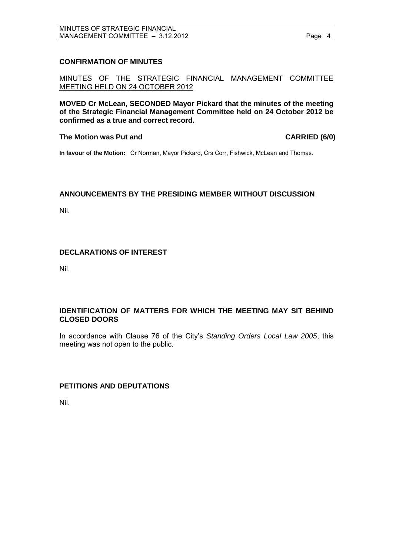## <span id="page-3-0"></span>**CONFIRMATION OF MINUTES**

MINUTES OF THE STRATEGIC FINANCIAL MANAGEMENT COMMITTEE MEETING HELD ON 24 OCTOBER 2012

**MOVED Cr McLean, SECONDED Mayor Pickard that the minutes of the meeting of the Strategic Financial Management Committee held on 24 October 2012 be confirmed as a true and correct record.** 

## The Motion was Put and **CARRIED** (6/0)

**In favour of the Motion:** Cr Norman, Mayor Pickard, Crs Corr, Fishwick, McLean and Thomas.

## <span id="page-3-1"></span>**ANNOUNCEMENTS BY THE PRESIDING MEMBER WITHOUT DISCUSSION**

Nil.

## <span id="page-3-2"></span>**DECLARATIONS OF INTEREST**

Nil.

## <span id="page-3-3"></span>**IDENTIFICATION OF MATTERS FOR WHICH THE MEETING MAY SIT BEHIND CLOSED DOORS**

In accordance with Clause 76 of the City's *Standing Orders Local Law 2005*, this meeting was not open to the public.

## <span id="page-3-4"></span>**PETITIONS AND DEPUTATIONS**

Nil.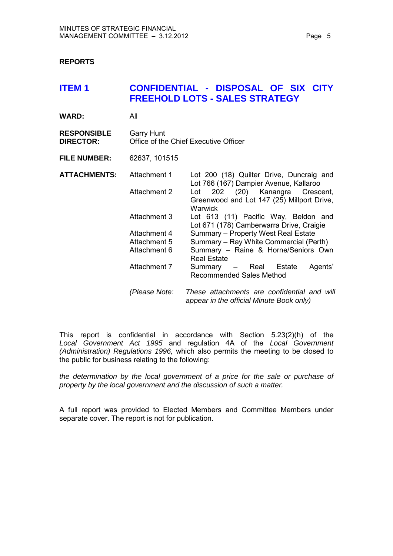## <span id="page-4-0"></span>**REPORTS**

<span id="page-4-1"></span>

| <b>ITEM1</b>                           |                                                                                                              | CONFIDENTIAL - DISPOSAL OF SIX CITY<br><b>FREEHOLD LOTS - SALES STRATEGY</b>                                                                                                                                                                                                                                                                                                                                                                                                               |
|----------------------------------------|--------------------------------------------------------------------------------------------------------------|--------------------------------------------------------------------------------------------------------------------------------------------------------------------------------------------------------------------------------------------------------------------------------------------------------------------------------------------------------------------------------------------------------------------------------------------------------------------------------------------|
| <b>WARD:</b>                           | All                                                                                                          |                                                                                                                                                                                                                                                                                                                                                                                                                                                                                            |
| <b>RESPONSIBLE</b><br><b>DIRECTOR:</b> | <b>Garry Hunt</b>                                                                                            | Office of the Chief Executive Officer                                                                                                                                                                                                                                                                                                                                                                                                                                                      |
| <b>FILE NUMBER:</b>                    | 62637, 101515                                                                                                |                                                                                                                                                                                                                                                                                                                                                                                                                                                                                            |
| <b>ATTACHMENTS:</b>                    | Attachment 1<br>Attachment 2<br>Attachment 3<br>Attachment 4<br>Attachment 5<br>Attachment 6<br>Attachment 7 | Lot 200 (18) Quilter Drive, Duncraig and<br>Lot 766 (167) Dampier Avenue, Kallaroo<br>202 (20) Kanangra Crescent,<br>Lot<br>Greenwood and Lot 147 (25) Millport Drive,<br>Warwick<br>Lot 613 (11) Pacific Way, Beldon and<br>Lot 671 (178) Camberwarra Drive, Craigie<br>Summary - Property West Real Estate<br>Summary - Ray White Commercial (Perth)<br>Summary - Raine & Horne/Seniors Own<br><b>Real Estate</b><br>Agents'<br>Summary – Real Estate<br><b>Recommended Sales Method</b> |
|                                        | (Please Note:                                                                                                | These attachments are confidential and will<br>appear in the official Minute Book only)                                                                                                                                                                                                                                                                                                                                                                                                    |

This report is confidential in accordance with Section 5.23(2)(h) of the *Local Government Act 1995* and regulation 4A of the *Local Government (Administration) Regulations 1996,* which also permits the meeting to be closed to the public for business relating to the following:

*the determination by the local government of a price for the sale or purchase of property by the local government and the discussion of such a matter.* 

A full report was provided to Elected Members and Committee Members under separate cover. The report is not for publication.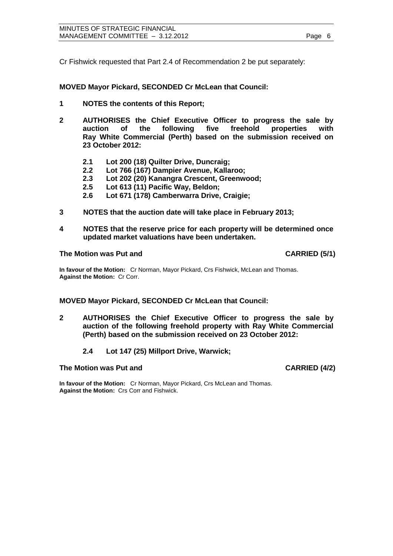Cr Fishwick requested that Part 2.4 of Recommendation 2 be put separately:

**MOVED Mayor Pickard, SECONDED Cr McLean that Council:** 

- **1 NOTES the contents of this Report;**
- **2 AUTHORISES the Chief Executive Officer to progress the sale by auction of the following five freehold properties with Ray White Commercial (Perth) based on the submission received on 23 October 2012:** 
	- **2.1 Lot 200 (18) Quilter Drive, Duncraig;**
	- **2.2 Lot 766 (167) Dampier Avenue, Kallaroo;**
	- **2.3 Lot 202 (20) Kanangra Crescent, Greenwood;**
	- **2.5 Lot 613 (11) Pacific Way, Beldon;**
	- **2.6 Lot 671 (178) Camberwarra Drive, Craigie;**
- **3 NOTES that the auction date will take place in February 2013;**
- **4 NOTES that the reserve price for each property will be determined once updated market valuations have been undertaken.**

#### **The Motion was Put and CARRIED (5/1)**

**In favour of the Motion:** Cr Norman, Mayor Pickard, Crs Fishwick, McLean and Thomas. **Against the Motion:** Cr Corr.

#### **MOVED Mayor Pickard, SECONDED Cr McLean that Council:**

- **2 AUTHORISES the Chief Executive Officer to progress the sale by auction of the following freehold property with Ray White Commercial (Perth) based on the submission received on 23 October 2012:** 
	- **2.4 Lot 147 (25) Millport Drive, Warwick;**

#### **The Motion was Put and CARRIED (4/2) CARRIED (4/2)**

**In favour of the Motion:** Cr Norman, Mayor Pickard, Crs McLean and Thomas. **Against the Motion:** Crs Corr and Fishwick.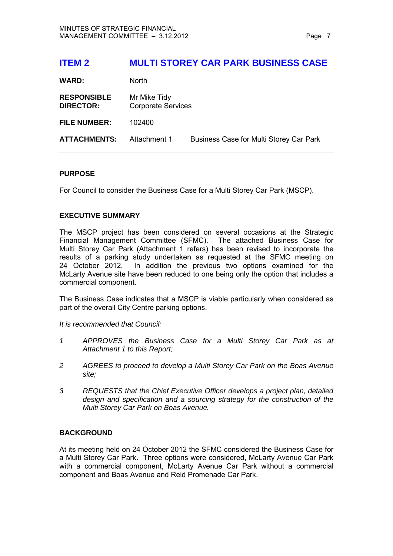## <span id="page-6-0"></span>**ITEM 2 MULTI STOREY CAR PARK BUSINESS CASE**

| <b>North</b>                              |                                         |
|-------------------------------------------|-----------------------------------------|
| Mr Mike Tidy<br><b>Corporate Services</b> |                                         |
| 102400                                    |                                         |
| Attachment 1                              | Business Case for Multi Storey Car Park |
|                                           |                                         |

#### **PURPOSE**

For Council to consider the Business Case for a Multi Storey Car Park (MSCP).

## **EXECUTIVE SUMMARY**

The MSCP project has been considered on several occasions at the Strategic Financial Management Committee (SFMC). The attached Business Case for Multi Storey Car Park (Attachment 1 refers) has been revised to incorporate the results of a parking study undertaken as requested at the SFMC meeting on 24 October 2012. In addition the previous two options examined for the McLarty Avenue site have been reduced to one being only the option that includes a commercial component.

The Business Case indicates that a MSCP is viable particularly when considered as part of the overall City Centre parking options.

*It is recommended that Council:* 

- *1 APPROVES the Business Case for a Multi Storey Car Park as at Attachment 1 to this Report;*
- *2 AGREES to proceed to develop a Multi Storey Car Park on the Boas Avenue site;*
- *3 REQUESTS that the Chief Executive Officer develops a project plan, detailed design and specification and a sourcing strategy for the construction of the Multi Storey Car Park on Boas Avenue.*

## **BACKGROUND**

At its meeting held on 24 October 2012 the SFMC considered the Business Case for a Multi Storey Car Park. Three options were considered, McLarty Avenue Car Park with a commercial component, McLarty Avenue Car Park without a commercial component and Boas Avenue and Reid Promenade Car Park.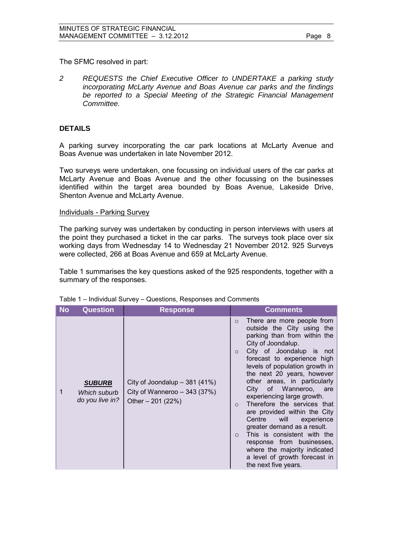The SFMC resolved in part:

*2 REQUESTS the Chief Executive Officer to UNDERTAKE a parking study incorporating McLarty Avenue and Boas Avenue car parks and the findings be reported to a Special Meeting of the Strategic Financial Management Committee.* 

## **DETAILS**

A parking survey incorporating the car park locations at McLarty Avenue and Boas Avenue was undertaken in late November 2012.

Two surveys were undertaken, one focussing on individual users of the car parks at McLarty Avenue and Boas Avenue and the other focussing on the businesses identified within the target area bounded by Boas Avenue, Lakeside Drive, Shenton Avenue and McLarty Avenue.

#### Individuals - Parking Survey

The parking survey was undertaken by conducting in person interviews with users at the point they purchased a ticket in the car parks. The surveys took place over six working days from Wednesday 14 to Wednesday 21 November 2012. 925 Surveys were collected, 266 at Boas Avenue and 659 at McLarty Avenue.

Table 1 summarises the key questions asked of the 925 respondents, together with a summary of the responses.

| No | <b>Question</b>                                  | <b>Response</b>                                                                      | <b>Comments</b>                                                                                                                                                                                                                                                                                                                                                                                                                                                                                                                                                                                                                                                            |
|----|--------------------------------------------------|--------------------------------------------------------------------------------------|----------------------------------------------------------------------------------------------------------------------------------------------------------------------------------------------------------------------------------------------------------------------------------------------------------------------------------------------------------------------------------------------------------------------------------------------------------------------------------------------------------------------------------------------------------------------------------------------------------------------------------------------------------------------------|
|    | <b>SUBURB</b><br>Which suburb<br>do you live in? | City of Joondalup $-381$ (41%)<br>City of Wanneroo $-343$ (37%)<br>Other $-201(22%)$ | There are more people from<br>$\circ$<br>outside the City using the<br>parking than from within the<br>City of Joondalup.<br>City of Joondalup is not<br>$\Omega$<br>forecast to experience high<br>levels of population growth in<br>the next 20 years, however<br>areas, in particularly<br>other<br>Wanneroo, are<br>City<br>οf<br>experiencing large growth.<br>Therefore the services that<br>$\Omega$<br>are provided within the City<br>Centre<br>will<br>experience<br>greater demand as a result.<br>This is consistent with the<br>$\circ$<br>response from businesses,<br>where the majority indicated<br>a level of growth forecast in<br>the next five years. |

## Table 1 – Individual Survey – Questions, Responses and Comments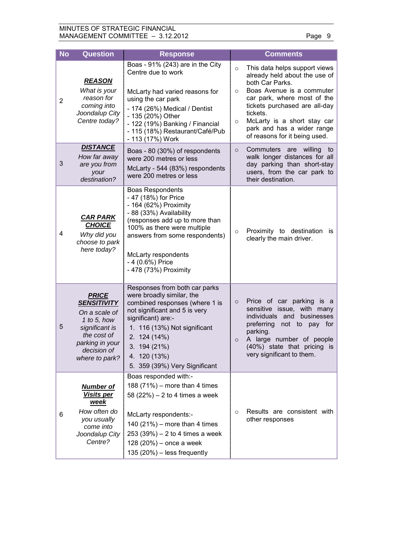## MINUTES OF STRATEGIC FINANCIAL MANAGEMENT COMMITTEE - 3.12.2012 Page 9

| <b>No</b>      | <b>Question</b>                                                                                                                                         | <b>Response</b>                                                                                                                                                                                                                                                            |                               | <b>Comments</b>                                                                                                                                                                                                                                                                          |
|----------------|---------------------------------------------------------------------------------------------------------------------------------------------------------|----------------------------------------------------------------------------------------------------------------------------------------------------------------------------------------------------------------------------------------------------------------------------|-------------------------------|------------------------------------------------------------------------------------------------------------------------------------------------------------------------------------------------------------------------------------------------------------------------------------------|
| $\overline{c}$ | <b>REASON</b><br>What is your<br>reason for<br>coming into<br>Joondalup City<br>Centre today?                                                           | Boas - 91% (243) are in the City<br>Centre due to work<br>McLarty had varied reasons for<br>using the car park<br>- 174 (26%) Medical / Dentist<br>- 135 (20%) Other<br>- 122 (19%) Banking / Financial<br>- 115 (18%) Restaurant/Café/Pub<br>- 113 (17%) Work             | $\circ$<br>$\circ$<br>$\circ$ | This data helps support views<br>already held about the use of<br>both Car Parks.<br>Boas Avenue is a commuter<br>car park, where most of the<br>tickets purchased are all-day<br>tickets.<br>McLarty is a short stay car<br>park and has a wider range<br>of reasons for it being used. |
| 3              | <b>DISTANCE</b><br>How far away<br>are you from<br>your<br>destination?                                                                                 | Boas - 80 (30%) of respondents<br>were 200 metres or less<br>McLarty - 544 (83%) respondents<br>were 200 metres or less                                                                                                                                                    | $\circ$                       | Commuters<br>willing<br>are<br>to<br>walk longer distances for all<br>day parking than short-stay<br>users, from the car park to<br>their destination.                                                                                                                                   |
| 4              | <b>CAR PARK</b><br><b>CHOICE</b><br>Why did you<br>choose to park<br>here today?                                                                        | <b>Boas Respondents</b><br>- 47 (18%) for Price<br>- 164 (62%) Proximity<br>- 88 (33%) Availability<br>(responses add up to more than<br>100% as there were multiple<br>answers from some respondents)<br>McLarty respondents<br>- 4 (0.6%) Price<br>- 478 (73%) Proximity | $\circ$                       | Proximity to destination<br>is<br>clearly the main driver.                                                                                                                                                                                                                               |
| 5              | <b>PRICE</b><br><b>SENSITIVITY</b><br>On a scale of<br>1 to 5, how<br>significant is<br>the cost of<br>parking in your<br>decision of<br>where to park? | Responses from both car parks<br>were broadly similar, the<br>combined responses (where 1 is<br>not significant and 5 is very<br>significant) are:-<br>1. 116 (13%) Not significant<br>2. 124 (14%)<br>3. 194 (21%)<br>4. 120 (13%)<br>5. 359 (39%) Very Significant       | $\circ$<br>$\circ$            | Price of car parking<br>is a<br>sensitive issue, with many<br>individuals<br>businesses<br>and<br>preferring<br>not to<br>pay for<br>parking.<br>A large number of people<br>(40%) state that pricing is<br>very significant to them.                                                    |
| 6              | <b>Number of</b><br><b>Visits per</b><br>week<br>How often do<br>you usually<br>come into<br>Joondalup City<br>Centre?                                  | Boas responded with:-<br>188 $(71%)$ – more than 4 times<br>58 $(22%) - 2$ to 4 times a week<br>McLarty respondents:-<br>140 $(21%)$ – more than 4 times<br>$253 (39%) - 2$ to 4 times a week<br>128 $(20%)$ – once a week<br>135 $(20%)$ – less frequently                | $\circ$                       | Results are consistent with<br>other responses                                                                                                                                                                                                                                           |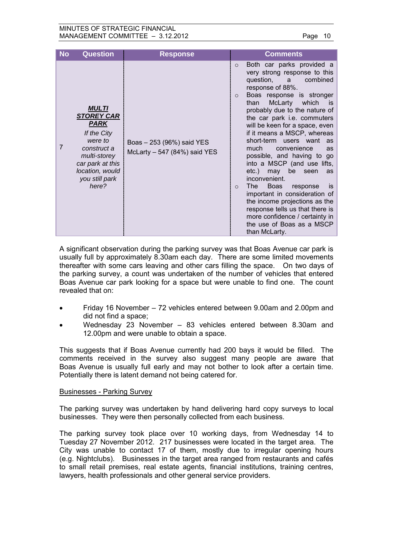#### MINUTES OF STRATEGIC FINANCIAL MANAGEMENT COMMITTEE – 3.12.2012 Page 10

| <b>No</b> | <b>Question</b>                                                                                                                                                             | <b>Response</b>                                            | <b>Comments</b>                                                                                                                                                                                                                                                                                                                                                                                                                                                                                                                                                                                                                                                                                                                                                                                                                                                                                                                                                              |
|-----------|-----------------------------------------------------------------------------------------------------------------------------------------------------------------------------|------------------------------------------------------------|------------------------------------------------------------------------------------------------------------------------------------------------------------------------------------------------------------------------------------------------------------------------------------------------------------------------------------------------------------------------------------------------------------------------------------------------------------------------------------------------------------------------------------------------------------------------------------------------------------------------------------------------------------------------------------------------------------------------------------------------------------------------------------------------------------------------------------------------------------------------------------------------------------------------------------------------------------------------------|
| 7         | <b>MULTI</b><br><b>STOREY CAR</b><br><b>PARK</b><br>If the City<br>were to<br>construct a<br>multi-storey<br>car park at this<br>location, would<br>you still park<br>here? | Boas - 253 (96%) said YES<br>McLarty $-547$ (84%) said YES | Both car parks provided a<br>$\circ$<br>very strong response to this<br>question,<br>combined<br>a<br>response of 88%.<br>Boas response is stronger<br>$\circ$<br>McLarty which<br>than<br>is is<br>probably due to the nature of<br>the car park i.e. commuters<br>will be keen for a space, even<br>if it means a MSCP, whereas<br>short-term users want<br>as<br>much<br>convenience<br>as<br>possible, and having to go<br>into a MSCP (and use lifts,<br>may be seen<br>etc.)<br>as<br>inconvenient.<br>The the the set of the set of the set of the set of the set of the set of the set of the set of the set of the set of the set of the set of the set of the set of the set of the set of the set of the set of the set of the s<br><b>Boas</b><br>response<br>is<br>$\circ$<br>important in consideration of<br>the income projections as the<br>response tells us that there is<br>more confidence / certainty in<br>the use of Boas as a MSCP<br>than McLarty. |

A significant observation during the parking survey was that Boas Avenue car park is usually full by approximately 8.30am each day. There are some limited movements thereafter with some cars leaving and other cars filling the space. On two days of the parking survey, a count was undertaken of the number of vehicles that entered Boas Avenue car park looking for a space but were unable to find one. The count revealed that on:

- Friday 16 November 72 vehicles entered between 9.00am and 2.00pm and did not find a space;
- Wednesday 23 November 83 vehicles entered between 8.30am and 12.00pm and were unable to obtain a space.

This suggests that if Boas Avenue currently had 200 bays it would be filled. The comments received in the survey also suggest many people are aware that Boas Avenue is usually full early and may not bother to look after a certain time. Potentially there is latent demand not being catered for.

## Businesses - Parking Survey

The parking survey was undertaken by hand delivering hard copy surveys to local businesses. They were then personally collected from each business.

The parking survey took place over 10 working days, from Wednesday 14 to Tuesday 27 November 2012. 217 businesses were located in the target area. The City was unable to contact 17 of them, mostly due to irregular opening hours (e.g. Nightclubs). Businesses in the target area ranged from restaurants and cafés to small retail premises, real estate agents, financial institutions, training centres, lawyers, health professionals and other general service providers.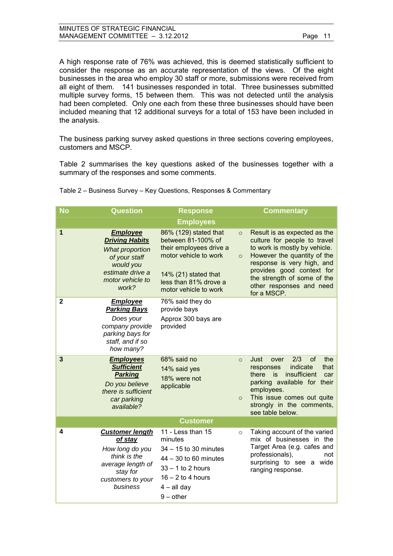| MINUTES OF STRATEGIC FINANCIAL   |
|----------------------------------|
| MANAGEMENT COMMITTEE - 3.12.2012 |

A high response rate of 76% was achieved, this is deemed statistically sufficient to consider the response as an accurate representation of the views. Of the eight businesses in the area who employ 30 staff or more, submissions were received from all eight of them. 141 businesses responded in total. Three businesses submitted multiple survey forms, 15 between them. This was not detected until the analysis had been completed. Only one each from these three businesses should have been included meaning that 12 additional surveys for a total of 153 have been included in the analysis.

The business parking survey asked questions in three sections covering employees, customers and MSCP.

Table 2 summarises the key questions asked of the businesses together with a summary of the responses and some comments.

| <b>No</b>   | <b>Question</b>                                                                                                                                   | <b>Response</b>                                                                                                                                                           |                    | <b>Commentary</b>                                                                                                                                                                                                                                                 |
|-------------|---------------------------------------------------------------------------------------------------------------------------------------------------|---------------------------------------------------------------------------------------------------------------------------------------------------------------------------|--------------------|-------------------------------------------------------------------------------------------------------------------------------------------------------------------------------------------------------------------------------------------------------------------|
|             |                                                                                                                                                   | <b>Employees</b>                                                                                                                                                          |                    |                                                                                                                                                                                                                                                                   |
| 1           | <b>Employee</b><br><b>Driving Habits</b><br><b>What proportion</b><br>of your staff<br>would you<br>estimate drive a<br>motor vehicle to<br>work? | 86% (129) stated that<br>between 81-100% of<br>their employees drive a<br>motor vehicle to work<br>14% (21) stated that<br>less than 81% drove a<br>motor vehicle to work | $\circ$<br>$\circ$ | Result is as expected as the<br>culture for people to travel<br>to work is mostly by vehicle.<br>However the quantity of the<br>response is very high, and<br>provides good context for<br>the strength of some of the<br>other responses and need<br>for a MSCP. |
| $\mathbf 2$ | <b>Employee</b><br><b>Parking Bays</b><br>Does your<br>company provide<br>parking bays for<br>staff, and if so<br>how many?                       | 76% said they do<br>provide bays<br>Approx 300 bays are<br>provided                                                                                                       |                    |                                                                                                                                                                                                                                                                   |
| 3           | <b>Employees</b><br><b>Sufficient</b><br><b>Parking</b><br>Do you believe<br>there is sufficient<br>car parking<br>available?                     | 68% said no<br>14% said yes<br>18% were not<br>applicable                                                                                                                 | $\circ$<br>$\circ$ | 2/3<br>of<br>the<br>Just<br>over<br>indicate<br>responses<br>that<br>insufficient<br>there<br>is<br>car<br>parking available for their<br>employees.<br>This issue comes out quite<br>strongly in the comments,<br>see table below.                               |
|             |                                                                                                                                                   | <b>Customer</b>                                                                                                                                                           |                    |                                                                                                                                                                                                                                                                   |
| 4           | <b>Customer length</b><br>of stay<br>How long do you<br>think is the<br>average length of<br>stay for<br>customers to your<br>business            | 11 - Less than 15<br>minutes<br>34 - 15 to 30 minutes<br>44 - 30 to 60 minutes<br>$33 - 1$ to 2 hours<br>$16 - 2$ to 4 hours<br>$4 - all day$<br>$9$ – other              | $\circ$            | Taking account of the varied<br>mix of businesses in the<br>Target Area (e.g. cafes and<br>professionals),<br>not<br>surprising to see a wide<br>ranging response.                                                                                                |

Table 2 – Business Survey – Key Questions, Responses & Commentary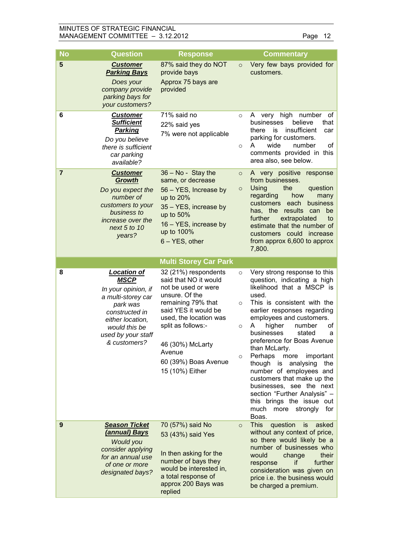## MINUTES OF STRATEGIC FINANCIAL MANAGEMENT COMMITTEE - 3.12.2012 Page 12

| <b>No</b>      | <b>Question</b>                                                                                                                                                                         | <b>Response</b>                                                                                                                                                                                                                                               |                                    | <b>Commentary</b>                                                                                                                                                                                                                                                                                                                                                                                                                                                                                                                                                     |
|----------------|-----------------------------------------------------------------------------------------------------------------------------------------------------------------------------------------|---------------------------------------------------------------------------------------------------------------------------------------------------------------------------------------------------------------------------------------------------------------|------------------------------------|-----------------------------------------------------------------------------------------------------------------------------------------------------------------------------------------------------------------------------------------------------------------------------------------------------------------------------------------------------------------------------------------------------------------------------------------------------------------------------------------------------------------------------------------------------------------------|
| 5              | <b>Customer</b><br><b>Parking Bays</b><br>Does your<br>company provide<br>parking bays for<br>your customers?                                                                           | 87% said they do NOT<br>provide bays<br>Approx 75 bays are<br>provided                                                                                                                                                                                        | $\circ$                            | Very few bays provided for<br>customers.                                                                                                                                                                                                                                                                                                                                                                                                                                                                                                                              |
| 6              | <b>Customer</b><br><b>Sufficient</b><br><b>Parking</b><br>Do you believe<br>there is sufficient<br>car parking<br>available?                                                            | 71% said no<br>22% said yes<br>7% were not applicable                                                                                                                                                                                                         | $\circ$<br>$\circ$                 | very high<br>number<br>of<br>A<br>believe<br>that<br>businesses<br>insufficient<br>is<br>there<br>car<br>parking for customers.<br>A<br>wide<br>number<br>of<br>comments provided in this<br>area also, see below.                                                                                                                                                                                                                                                                                                                                                    |
| $\overline{7}$ | <b>Customer</b><br><b>Growth</b><br>Do you expect the<br>number of<br>customers to your<br>business to<br>increase over the<br>next 5 to 10<br>years?                                   | $36 - No - Stay$ the<br>same, or decrease<br>56 - YES, Increase by<br>up to 20%<br>35 - YES, increase by<br>up to $50\%$<br>16 - YES, increase by<br>up to 100%<br>$6 - YES$ , other                                                                          | $\circ$<br>$\circ$                 | A very positive response<br>from businesses.<br>Using<br>the<br>question<br>regarding<br>how<br>many<br>customers<br>each<br>business<br>has, the results<br>can<br>be<br>further<br>extrapolated<br>to<br>estimate that the number of<br>customers could increase<br>from approx 6,600 to approx<br>7,800.                                                                                                                                                                                                                                                           |
|                |                                                                                                                                                                                         | <b>Multi Storey Car Park</b>                                                                                                                                                                                                                                  |                                    |                                                                                                                                                                                                                                                                                                                                                                                                                                                                                                                                                                       |
| 8              | <b>Location of</b><br><b>MSCP</b><br>In your opinion, if<br>a multi-storey car<br>park was<br>constructed in<br>either location,<br>would this be<br>used by your staff<br>& customers? | 32 (21%) respondents<br>said that NO it would<br>not be used or were<br>unsure. Of the<br>remaining 79% that<br>said YES it would be<br>used, the location was<br>split as follows:-<br>46 (30%) McLarty<br>Avenue<br>60 (39%) Boas Avenue<br>15 (10%) Either | $\circ$<br>$\circ$<br>$\circ$<br>O | Very strong response to this<br>question, indicating a high<br>likelihood that a MSCP is<br>used.<br>This is consistent with the<br>earlier responses regarding<br>employees and customers.<br>higher<br>number<br>οf<br>A<br>businesses<br>stated<br>а<br>preference for Boas Avenue<br>than McLarty.<br>Perhaps<br>important<br>more<br>though is<br>analysing<br>the<br>number of employees and<br>customers that make up the<br>businesses, see the next<br>section "Further Analysis" -<br>this brings the issue out<br>strongly<br>much<br>more<br>for<br>Boas. |
| 9              | <b>Season Ticket</b><br>(annual) Bays<br><b>Would you</b><br>consider applying<br>for an annual use<br>of one or more<br>designated bays?                                               | 70 (57%) said No<br>53 (43%) said Yes<br>In then asking for the<br>number of bays they<br>would be interested in,<br>a total response of                                                                                                                      | $\circ$                            | <b>This</b><br>question<br>is<br>asked<br>without any context of price,<br>so there would likely be a<br>number of businesses who<br>would<br>change<br>their<br>further<br>if.<br>response<br>consideration was given on<br>price i.e. the business would                                                                                                                                                                                                                                                                                                            |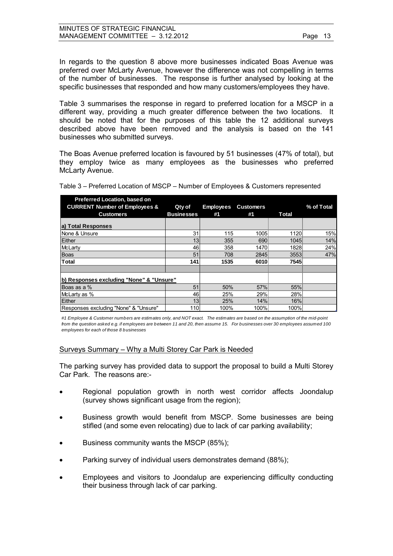In regards to the question 8 above more businesses indicated Boas Avenue was preferred over McLarty Avenue, however the difference was not compelling in terms of the number of businesses. The response is further analysed by looking at the specific businesses that responded and how many customers/employees they have.

Table 3 summarises the response in regard to preferred location for a MSCP in a different way, providing a much greater difference between the two locations. It should be noted that for the purposes of this table the 12 additional surveys described above have been removed and the analysis is based on the 141 businesses who submitted surveys.

The Boas Avenue preferred location is favoured by 51 businesses (47% of total), but they employ twice as many employees as the businesses who preferred McLarty Avenue.

| <b>Preferred Location, based on</b><br><b>CURRENT Number of Employees &amp;</b> | Qty of            | <b>Employees</b> | <b>Customers</b> |       | % of Total |
|---------------------------------------------------------------------------------|-------------------|------------------|------------------|-------|------------|
| <b>Customers</b>                                                                | <b>Businesses</b> | #1               | #1               | Total |            |
| a) Total Responses                                                              |                   |                  |                  |       |            |
| None & Unsure                                                                   | 31                | 115              | 1005             | 1120  | 15%        |
| Either                                                                          | 13                | 355              | 690              | 1045  | 14%        |
| <b>McLarty</b>                                                                  | 46                | 358              | 1470             | 1828  | 24%        |
| <b>Boas</b>                                                                     | 51                | 708              | 2845             | 3553  | 47%        |
| Total                                                                           | 141               | 1535             | 6010             | 7545  |            |
|                                                                                 |                   |                  |                  |       |            |
| b) Responses excluding "None" & "Unsure"                                        |                   |                  |                  |       |            |
| Boas as a %                                                                     | 51                | 50%              | 57%              | 55%   |            |
| McLarty as %                                                                    | 46                | 25%              | 29%              | 28%   |            |
| Either                                                                          | 13                | 25%              | 14%              | 16%   |            |
| Responses excluding "None" & "Unsure"                                           | 110               | 100%             | 100%             | 100%  |            |

Table 3 – Preferred Location of MSCP – Number of Employees & Customers represented

*from the question asked e.g. if employees are between 11 and 20, then assume 15. For businesses over 30 employees assumed 100 employees for each of those 8 businesses*

#### Surveys Summary – Why a Multi Storey Car Park is Needed

The parking survey has provided data to support the proposal to build a Multi Storey Car Park. The reasons are:-

- Regional population growth in north west corridor affects Joondalup (survey shows significant usage from the region);
- Business growth would benefit from MSCP. Some businesses are being stifled (and some even relocating) due to lack of car parking availability;
- Business community wants the MSCP (85%);
- Parking survey of individual users demonstrates demand (88%);
- Employees and visitors to Joondalup are experiencing difficulty conducting their business through lack of car parking.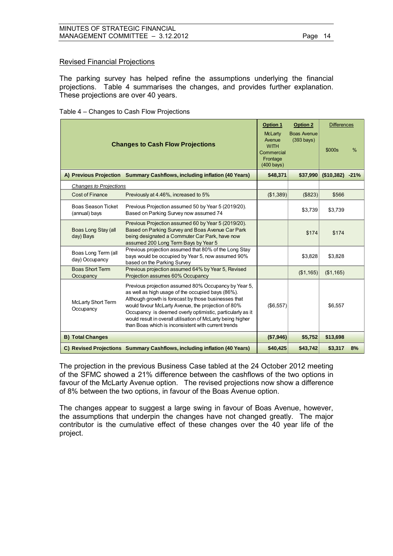## Revised Financial Projections

The parking survey has helped refine the assumptions underlying the financial projections. Table 4 summarises the changes, and provides further explanation. These projections are over 40 years.

| Table 4 – Changes to Cash Flow Projections |  |  |
|--------------------------------------------|--|--|
|--------------------------------------------|--|--|

| <b>Changes to Cash Flow Projections</b><br>Commercial |                                                                                                                                                                                                                                                                                                                                                                                                            |                                  | <b>Option 2</b><br><b>Boas Avenue</b><br>$(393 \text{ bays})$ | <b>Differences</b><br>\$000s | $\%$ |
|-------------------------------------------------------|------------------------------------------------------------------------------------------------------------------------------------------------------------------------------------------------------------------------------------------------------------------------------------------------------------------------------------------------------------------------------------------------------------|----------------------------------|---------------------------------------------------------------|------------------------------|------|
|                                                       | A) Previous Projection Summary Cashflows, including inflation (40 Years)                                                                                                                                                                                                                                                                                                                                   | $(400 \text{ bays})$<br>\$48,371 | \$37,990                                                      | $($10,382) -21%$             |      |
| Changes to Projections                                |                                                                                                                                                                                                                                                                                                                                                                                                            |                                  |                                                               |                              |      |
| <b>Cost of Finance</b>                                | Previously at 4.46%, increased to 5%                                                                                                                                                                                                                                                                                                                                                                       | (\$1,389)                        | (\$823)                                                       | \$566                        |      |
| <b>Boas Season Ticket</b><br>(annual) bays            | Previous Projection assumed 50 by Year 5 (2019/20).<br>Based on Parking Survey now assumed 74                                                                                                                                                                                                                                                                                                              |                                  | \$3,739                                                       | \$3,739                      |      |
| Boas Long Stay (all<br>day) Bays                      | Previous Projection assumed 60 by Year 5 (2019/20).<br>Based on Parking Survey and Boas Avenue Car Park<br>being designated a Commuter Car Park, have now<br>assumed 200 Long Term Bays by Year 5                                                                                                                                                                                                          |                                  | \$174                                                         | \$174                        |      |
| Boas Long Term (all<br>day) Occupancy                 | Previous projection assumed that 80% of the Long Stay<br>bays would be occupied by Year 5, now assumed 90%<br>based on the Parking Survey                                                                                                                                                                                                                                                                  |                                  | \$3,828                                                       | \$3,828                      |      |
| <b>Boas Short Term</b><br>Occupancy                   | Previous projection assumed 64% by Year 5, Revised<br>Projection assumes 60% Occupancy                                                                                                                                                                                                                                                                                                                     |                                  | (\$1,165)                                                     | (\$1,165)                    |      |
| <b>McLarty Short Term</b><br>Occupancy                | Previous projection assumed 80% Occupancy by Year 5,<br>as well as high usage of the occupied bays (86%).<br>Although growth is forecast by those businesses that<br>would favour McLarty Avenue, the projection of 80%<br>Occupancy is deemed overly optimistic, particularly as it<br>would result in overall utilisation of McLarty being higher<br>than Boas which is inconsistent with current trends | (\$6,557)                        |                                                               | \$6,557                      |      |
| <b>B) Total Changes</b>                               |                                                                                                                                                                                                                                                                                                                                                                                                            | (\$7,946)                        | \$5,752                                                       | \$13,698                     |      |
|                                                       | C) Revised Projections Summary Cashflows, including inflation (40 Years)                                                                                                                                                                                                                                                                                                                                   | \$40,425                         | \$43,742                                                      | \$3,317                      | 8%   |

The projection in the previous Business Case tabled at the 24 October 2012 meeting of the SFMC showed a 21% difference between the cashflows of the two options in favour of the McLarty Avenue option. The revised projections now show a difference of 8% between the two options, in favour of the Boas Avenue option.

The changes appear to suggest a large swing in favour of Boas Avenue, however, the assumptions that underpin the changes have not changed greatly. The major contributor is the cumulative effect of these changes over the 40 year life of the project.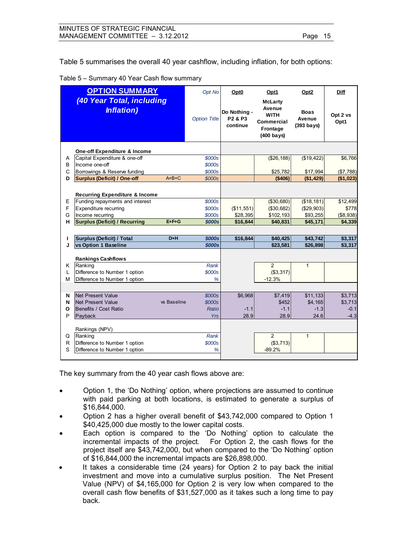Table 5 summarises the overall 40 year cashflow, including inflation, for both options:

|  |  |  | Table 5 – Summary 40 Year Cash flow summary |
|--|--|--|---------------------------------------------|
|--|--|--|---------------------------------------------|

|   | <b>OPTION SUMMARY</b>                                                        |             | Opt No              | Opt <sub>0</sub>                                            | Opt1                                                                                      | Opt <sub>2</sub>                       | Diff             |
|---|------------------------------------------------------------------------------|-------------|---------------------|-------------------------------------------------------------|-------------------------------------------------------------------------------------------|----------------------------------------|------------------|
|   | (40 Year Total, including<br><b>Inflation</b> )                              |             | <b>Option Title</b> | Do Nothing -<br>P <sub>2</sub> & P <sub>3</sub><br>continue | <b>McLarty</b><br>Avenue<br><b>WITH</b><br>Commercial<br>Frontage<br>$(400 \text{ bays})$ | <b>Boas</b><br>Avenue<br>$(393)$ bays) | Opt 2 vs<br>Opt1 |
|   | One-off Expenditure & Income                                                 |             |                     |                                                             |                                                                                           |                                        |                  |
| A | Capital Expenditure & one-off                                                |             | \$000s              |                                                             | (\$26, 188)                                                                               | (\$19,422)                             | \$6,766          |
| B | Income one-off                                                               |             | \$000s              |                                                             |                                                                                           |                                        |                  |
| C | Borrowings & Reserve funding                                                 |             | \$000s              |                                                             | \$25,782                                                                                  | \$17,994                               | (\$7,788)        |
| D | <b>Surplus (Deficit) / One-off</b>                                           | $A+B+C$     | \$000s              |                                                             | (\$406)                                                                                   | (\$1,429)                              | (\$1,023)        |
| Е | <b>Recurring Expenditure &amp; Income</b><br>Funding repayments and interest |             | \$000s              |                                                             | (\$30,680)                                                                                | (\$18, 181)                            | \$12,499         |
| F | Expenditure recurring                                                        |             | \$000s              | (\$11,551)                                                  | ( \$30,682)                                                                               | (\$29,903)                             | \$778            |
| G | Income recurring                                                             |             | \$000s              | \$28,395                                                    | \$102,193                                                                                 | \$93,255                               | (\$8,938)        |
| н | <b>Surplus (Deficit) / Recurring</b>                                         | $E + F + G$ | \$000s              | \$16,844                                                    | \$40,831                                                                                  | \$45,171                               | \$4,339          |
|   |                                                                              |             |                     |                                                             |                                                                                           |                                        |                  |
| L | <b>Surplus (Deficit) / Total</b>                                             | $D+H$       | <b>\$000s</b>       | \$16,844                                                    | \$40,425                                                                                  | \$43,742                               | \$3,317          |
| J | vs Option 1 Baseline                                                         |             | <b>\$000s</b>       |                                                             | \$23,581                                                                                  | \$26,898                               | \$3,317          |
|   | <b>Rankings Cashflows</b>                                                    |             |                     |                                                             |                                                                                           |                                        |                  |
| Κ | Ranking                                                                      |             | <b>Rank</b>         |                                                             | $\overline{2}$                                                                            | $\overline{1}$                         |                  |
| L | Difference to Number 1 option                                                |             | \$000s              |                                                             | (\$3,317)                                                                                 |                                        |                  |
| м | Difference to Number 1 option                                                |             | %                   |                                                             | $-12.3%$                                                                                  |                                        |                  |
|   |                                                                              |             |                     |                                                             |                                                                                           |                                        |                  |
| N | Net Present Value                                                            |             | \$000s              | \$6,968                                                     | \$7,419                                                                                   | \$11,133                               | \$3,713          |
| N | Net Present Value                                                            | vs Baseline | \$000s              |                                                             | \$452                                                                                     | \$4,165                                | \$3,713          |
| О | Benefits / Cost Ratio                                                        |             | <b>Ratio</b>        | $-1.1$                                                      | $-1.1$                                                                                    | $-1.3$                                 | $-0.1$           |
| P | Payback                                                                      |             | Yrs                 | 28.9                                                        | 28.9                                                                                      | 24.6                                   | $-4.3$           |
|   |                                                                              |             |                     |                                                             |                                                                                           |                                        |                  |
| Q | Rankings (NPV)<br>Ranking                                                    |             | <b>Rank</b>         |                                                             | $\overline{2}$                                                                            | $\mathbf{1}$                           |                  |
| R | Difference to Number 1 option                                                |             | \$000s              |                                                             | (S3, 713)                                                                                 |                                        |                  |
| S | Difference to Number 1 option                                                |             | %                   |                                                             | $-89.2%$                                                                                  |                                        |                  |
|   |                                                                              |             |                     |                                                             |                                                                                           |                                        |                  |

The key summary from the 40 year cash flows above are:

- Option 1, the 'Do Nothing' option, where projections are assumed to continue with paid parking at both locations, is estimated to generate a surplus of \$16,844,000.
- Option 2 has a higher overall benefit of \$43,742,000 compared to Option 1 \$40,425,000 due mostly to the lower capital costs.
- Each option is compared to the 'Do Nothing' option to calculate the incremental impacts of the project. For Option 2, the cash flows for the project itself are \$43,742,000, but when compared to the 'Do Nothing' option of \$16,844,000 the incremental impacts are \$26,898,000.
- It takes a considerable time (24 years) for Option 2 to pay back the initial investment and move into a cumulative surplus position. The Net Present Value (NPV) of \$4,165,000 for Option 2 is very low when compared to the overall cash flow benefits of \$31,527,000 as it takes such a long time to pay back.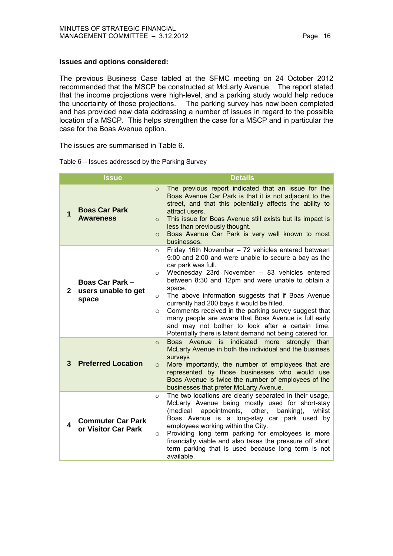## **Issues and options considered:**

The previous Business Case tabled at the SFMC meeting on 24 October 2012 recommended that the MSCP be constructed at McLarty Avenue. The report stated that the income projections were high-level, and a parking study would help reduce the uncertainty of those projections. The parking survey has now been completed and has provided new data addressing a number of issues in regard to the possible location of a MSCP. This helps strengthen the case for a MSCP and in particular the case for the Boas Avenue option.

The issues are summarised in Table 6.

|              | <b>Issue</b>                                    | <b>Details</b>                                                                                                                                                                                                                                                                                                                                                                                                                                                                                                                                                                                                                    |
|--------------|-------------------------------------------------|-----------------------------------------------------------------------------------------------------------------------------------------------------------------------------------------------------------------------------------------------------------------------------------------------------------------------------------------------------------------------------------------------------------------------------------------------------------------------------------------------------------------------------------------------------------------------------------------------------------------------------------|
| 1            | <b>Boas Car Park</b><br><b>Awareness</b>        | The previous report indicated that an issue for the<br>$\Omega$<br>Boas Avenue Car Park is that it is not adjacent to the<br>street, and that this potentially affects the ability to<br>attract users.<br>This issue for Boas Avenue still exists but its impact is<br>$\Omega$<br>less than previously thought.<br>Boas Avenue Car Park is very well known to most<br>$\circ$<br>businesses.                                                                                                                                                                                                                                    |
| $\mathbf{2}$ | Boas Car Park -<br>users unable to get<br>space | Friday 16th November - 72 vehicles entered between<br>$\circ$<br>9:00 and 2:00 and were unable to secure a bay as the<br>car park was full.<br>Wednesday 23rd November - 83 vehicles entered<br>$\circ$<br>between 8:30 and 12pm and were unable to obtain a<br>space.<br>The above information suggests that if Boas Avenue<br>$\circ$<br>currently had 200 bays it would be filled.<br>Comments received in the parking survey suggest that<br>$\circ$<br>many people are aware that Boas Avenue is full early<br>and may not bother to look after a certain time.<br>Potentially there is latent demand not being catered for. |
| 3            | <b>Preferred Location</b>                       | indicated<br>Boas Avenue is<br>strongly than<br>more<br>$\circ$<br>McLarty Avenue in both the individual and the business<br>surveys<br>More importantly, the number of employees that are<br>$\circ$<br>represented by those businesses who would use<br>Boas Avenue is twice the number of employees of the<br>businesses that prefer McLarty Avenue.                                                                                                                                                                                                                                                                           |
| 4            | <b>Commuter Car Park</b><br>or Visitor Car Park | The two locations are clearly separated in their usage,<br>$\circ$<br>McLarty Avenue being mostly used for short-stay<br>other,<br>banking),<br>(medical<br>appointments,<br>whilst<br>Boas Avenue is a long-stay car park used by<br>employees working within the City.<br>Providing long term parking for employees is more<br>$\circ$<br>financially viable and also takes the pressure off short<br>term parking that is used because long term is not<br>available.                                                                                                                                                          |

Table 6 – Issues addressed by the Parking Survey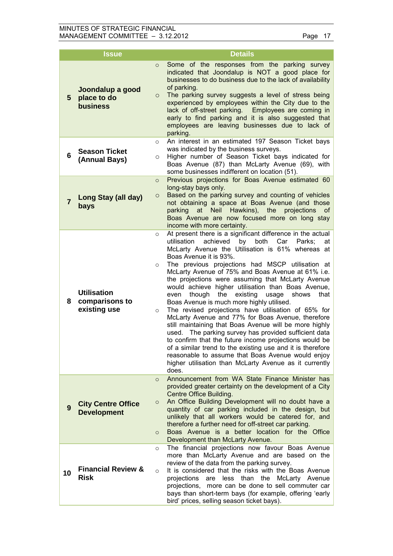|                | <b>Issue</b>                                         | <b>Details</b>                                                                                                                                                                                                                                                                                                                                                                                                                                                                                                                                                                                                                                                                                                                                                                                                                                                                                                                                                                                                                                           |
|----------------|------------------------------------------------------|----------------------------------------------------------------------------------------------------------------------------------------------------------------------------------------------------------------------------------------------------------------------------------------------------------------------------------------------------------------------------------------------------------------------------------------------------------------------------------------------------------------------------------------------------------------------------------------------------------------------------------------------------------------------------------------------------------------------------------------------------------------------------------------------------------------------------------------------------------------------------------------------------------------------------------------------------------------------------------------------------------------------------------------------------------|
| 5              | Joondalup a good<br>place to do<br>business          | Some of the responses from the parking survey<br>$\circ$<br>indicated that Joondalup is NOT a good place for<br>businesses to do business due to the lack of availability<br>of parking.<br>The parking survey suggests a level of stress being<br>$\circ$<br>experienced by employees within the City due to the<br>lack of off-street parking. Employees are coming in<br>early to find parking and it is also suggested that<br>employees are leaving businesses due to lack of<br>parking.                                                                                                                                                                                                                                                                                                                                                                                                                                                                                                                                                           |
| 6              | <b>Season Ticket</b><br>(Annual Bays)                | An interest in an estimated 197 Season Ticket bays<br>$\circ$<br>was indicated by the business surveys.<br>Higher number of Season Ticket bays indicated for<br>O<br>Boas Avenue (87) than McLarty Avenue (69), with<br>some businesses indifferent on location (51).                                                                                                                                                                                                                                                                                                                                                                                                                                                                                                                                                                                                                                                                                                                                                                                    |
| $\overline{7}$ | Long Stay (all day)<br>bays                          | Previous projections for Boas Avenue estimated 60<br>$\circ$<br>long-stay bays only.<br>Based on the parking survey and counting of vehicles<br>$\circ$<br>not obtaining a space at Boas Avenue (and those<br>Hawkins), the<br>projections<br>parking<br>at<br><b>Neil</b><br>0f<br>Boas Avenue are now focused more on long stay<br>income with more certainty.                                                                                                                                                                                                                                                                                                                                                                                                                                                                                                                                                                                                                                                                                         |
| 8              | <b>Utilisation</b><br>comparisons to<br>existing use | At present there is a significant difference in the actual<br>$\circ$<br>utilisation<br>achieved<br>both<br>Car<br>by<br>Parks:<br>at<br>McLarty Avenue the Utilisation is 61% whereas at<br>Boas Avenue it is 93%.<br>The previous projections had MSCP utilisation at<br>$\circ$<br>McLarty Avenue of 75% and Boas Avenue at 61% i.e.<br>the projections were assuming that McLarty Avenue<br>would achieve higher utilisation than Boas Avenue,<br>though<br>the<br>existing<br>shows<br>that<br>even<br>usage<br>Boas Avenue is much more highly utilised.<br>The revised projections have utilisation of 65% for<br>$\circ$<br>McLarty Avenue and 77% for Boas Avenue, therefore<br>still maintaining that Boas Avenue will be more highly<br>used. The parking survey has provided sufficient data<br>to confirm that the future income projections would be<br>of a similar trend to the existing use and it is therefore<br>reasonable to assume that Boas Avenue would enjoy<br>higher utilisation than McLarty Avenue as it currently<br>does. |
| 9              | <b>City Centre Office</b><br><b>Development</b>      | Announcement from WA State Finance Minister has<br>$\circ$<br>provided greater certainty on the development of a City<br>Centre Office Building.<br>An Office Building Development will no doubt have a<br>$\circ$<br>quantity of car parking included in the design, but<br>unlikely that all workers would be catered for, and<br>therefore a further need for off-street car parking.<br>Boas Avenue is a better location for the Office<br>$\circ$<br>Development than McLarty Avenue.                                                                                                                                                                                                                                                                                                                                                                                                                                                                                                                                                               |
| 10             | <b>Financial Review &amp;</b><br><b>Risk</b>         | The financial projections now favour Boas Avenue<br>$\circ$<br>more than McLarty Avenue and are based on the<br>review of the data from the parking survey.<br>It is considered that the risks with the Boas Avenue<br>$\circ$<br>projections are less than the McLarty Avenue<br>projections, more can be done to sell commuter car<br>bays than short-term bays (for example, offering 'early<br>bird' prices, selling season ticket bays).                                                                                                                                                                                                                                                                                                                                                                                                                                                                                                                                                                                                            |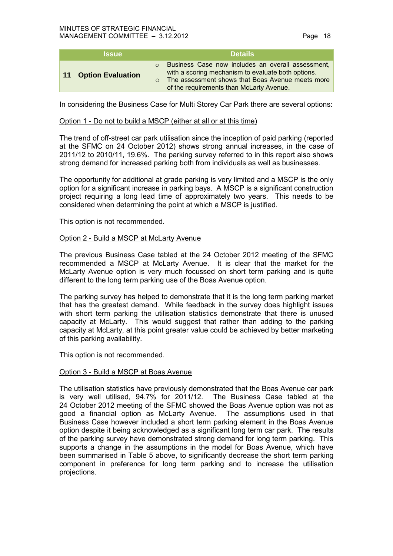#### MINUTES OF STRATEGIC FINANCIAL MANAGEMENT COMMITTEE – 3.12.2012 Page 18

| <b>Issue</b>                                | <b>Details</b>                                                                                                                                                                                          |
|---------------------------------------------|---------------------------------------------------------------------------------------------------------------------------------------------------------------------------------------------------------|
| <b>Option Evaluation</b><br>11 <sub>1</sub> | Business Case now includes an overall assessment,<br>with a scoring mechanism to evaluate both options.<br>The assessment shows that Boas Avenue meets more<br>of the requirements than McLarty Avenue. |

In considering the Business Case for Multi Storey Car Park there are several options:

#### Option 1 - Do not to build a MSCP (either at all or at this time)

The trend of off-street car park utilisation since the inception of paid parking (reported at the SFMC on 24 October 2012) shows strong annual increases, in the case of 2011/12 to 2010/11, 19.6%. The parking survey referred to in this report also shows strong demand for increased parking both from individuals as well as businesses.

The opportunity for additional at grade parking is very limited and a MSCP is the only option for a significant increase in parking bays. A MSCP is a significant construction project requiring a long lead time of approximately two years. This needs to be considered when determining the point at which a MSCP is justified.

This option is not recommended.

#### Option 2 - Build a MSCP at McLarty Avenue

The previous Business Case tabled at the 24 October 2012 meeting of the SFMC recommended a MSCP at McLarty Avenue. It is clear that the market for the McLarty Avenue option is very much focussed on short term parking and is quite different to the long term parking use of the Boas Avenue option.

The parking survey has helped to demonstrate that it is the long term parking market that has the greatest demand. While feedback in the survey does highlight issues with short term parking the utilisation statistics demonstrate that there is unused capacity at McLarty. This would suggest that rather than adding to the parking capacity at McLarty, at this point greater value could be achieved by better marketing of this parking availability.

This option is not recommended.

#### Option 3 - Build a MSCP at Boas Avenue

The utilisation statistics have previously demonstrated that the Boas Avenue car park is very well utilised, 94.7% for 2011/12. The Business Case tabled at the 24 October 2012 meeting of the SFMC showed the Boas Avenue option was not as good a financial option as McLarty Avenue. The assumptions used in that Business Case however included a short term parking element in the Boas Avenue option despite it being acknowledged as a significant long term car park. The results of the parking survey have demonstrated strong demand for long term parking. This supports a change in the assumptions in the model for Boas Avenue, which have been summarised in Table 5 above, to significantly decrease the short term parking component in preference for long term parking and to increase the utilisation projections.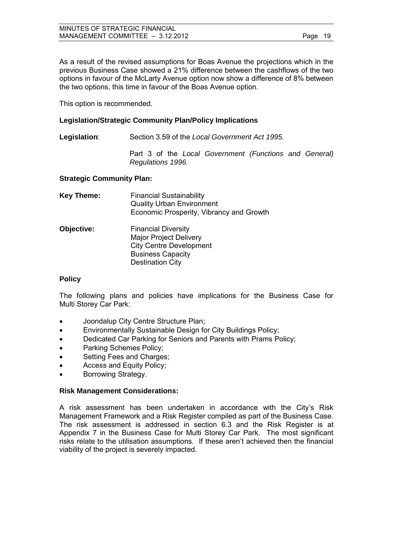| MINUTES OF STRATEGIC FINANCIAL   |         |  |
|----------------------------------|---------|--|
| MANAGEMENT COMMITTEE - 3.12.2012 | Page 19 |  |

As a result of the revised assumptions for Boas Avenue the projections which in the previous Business Case showed a 21% difference between the cashflows of the two options in favour of the McLarty Avenue option now show a difference of 8% between the two options, this time in favour of the Boas Avenue option.

This option is recommended.

## **Legislation/Strategic Community Plan/Policy Implications**

**Legislation**: Section 3.59 of the *Local Government Act 1995.*

Part 3 of the *Local Government (Functions and General) Regulations 1996.*

## **Strategic Community Plan:**

| <b>Key Theme:</b> | <b>Financial Sustainability</b><br><b>Quality Urban Environment</b><br>Economic Prosperity, Vibrancy and Growth |
|-------------------|-----------------------------------------------------------------------------------------------------------------|
| Objective:        | <b>Financial Diversity</b><br><b>Major Project Delivery</b><br><b>City Centre Development</b>                   |
|                   | <b>Business Capacity</b>                                                                                        |

Destination City

#### **Policy**

The following plans and policies have implications for the Business Case for Multi Storey Car Park:

- Joondalup City Centre Structure Plan;
- Environmentally Sustainable Design for City Buildings Policy;
- Dedicated Car Parking for Seniors and Parents with Prams Policy;
- Parking Schemes Policy;
- Setting Fees and Charges;
- Access and Equity Policy:
- Borrowing Strategy.

#### **Risk Management Considerations:**

A risk assessment has been undertaken in accordance with the City's Risk Management Framework and a Risk Register compiled as part of the Business Case. The risk assessment is addressed in section 6.3 and the Risk Register is at Appendix 7 in the Business Case for Multi Storey Car Park. The most significant risks relate to the utilisation assumptions. If these aren't achieved then the financial viability of the project is severely impacted.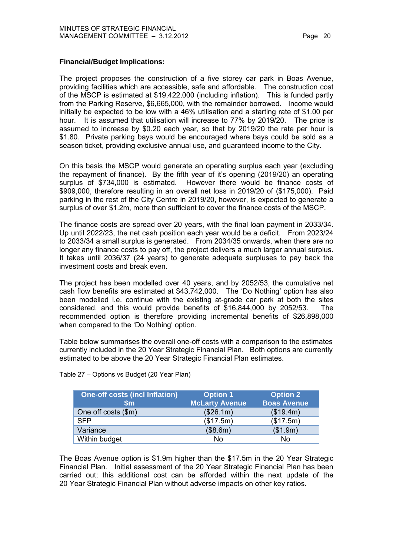## **Financial/Budget Implications:**

The project proposes the construction of a five storey car park in Boas Avenue, providing facilities which are accessible, safe and affordable. The construction cost of the MSCP is estimated at \$19,422,000 (including inflation). This is funded partly from the Parking Reserve, \$6,665,000, with the remainder borrowed. Income would initially be expected to be low with a 46% utilisation and a starting rate of \$1.00 per hour. It is assumed that utilisation will increase to 77% by 2019/20. The price is assumed to increase by \$0.20 each year, so that by 2019/20 the rate per hour is \$1.80. Private parking bays would be encouraged where bays could be sold as a season ticket, providing exclusive annual use, and guaranteed income to the City.

On this basis the MSCP would generate an operating surplus each year (excluding the repayment of finance). By the fifth year of it's opening (2019/20) an operating surplus of \$734,000 is estimated. However there would be finance costs of \$909,000, therefore resulting in an overall net loss in 2019/20 of (\$175,000). Paid parking in the rest of the City Centre in 2019/20, however, is expected to generate a surplus of over \$1.2m, more than sufficient to cover the finance costs of the MSCP.

The finance costs are spread over 20 years, with the final loan payment in 2033/34. Up until 2022/23, the net cash position each year would be a deficit. From 2023/24 to 2033/34 a small surplus is generated. From 2034/35 onwards, when there are no longer any finance costs to pay off, the project delivers a much larger annual surplus. It takes until 2036/37 (24 years) to generate adequate surpluses to pay back the investment costs and break even.

The project has been modelled over 40 years, and by 2052/53, the cumulative net cash flow benefits are estimated at \$43,742,000. The 'Do Nothing' option has also been modelled i.e. continue with the existing at-grade car park at both the sites considered, and this would provide benefits of \$16,844,000 by 2052/53. The recommended option is therefore providing incremental benefits of \$26,898,000 when compared to the 'Do Nothing' option.

Table below summarises the overall one-off costs with a comparison to the estimates currently included in the 20 Year Strategic Financial Plan. Both options are currently estimated to be above the 20 Year Strategic Financial Plan estimates.

| <b>One-off costs (incl Inflation)</b><br>$\mathsf{Sm}$ | <b>Option 1</b><br><b>McLarty Avenue</b> | <b>Option 2</b><br><b>Boas Avenue</b> |
|--------------------------------------------------------|------------------------------------------|---------------------------------------|
| One off costs (\$m)                                    | (\$26.1m)                                | (\$19.4m)                             |
| <b>SFP</b>                                             | (\$17.5m)                                | (\$17.5m)                             |
| Variance                                               | (\$8.6m)                                 | (\$1.9m)                              |
| Within budget                                          | No                                       | No                                    |

Table 27 – Options vs Budget (20 Year Plan)

The Boas Avenue option is \$1.9m higher than the \$17.5m in the 20 Year Strategic Financial Plan. Initial assessment of the 20 Year Strategic Financial Plan has been carried out; this additional cost can be afforded within the next update of the 20 Year Strategic Financial Plan without adverse impacts on other key ratios.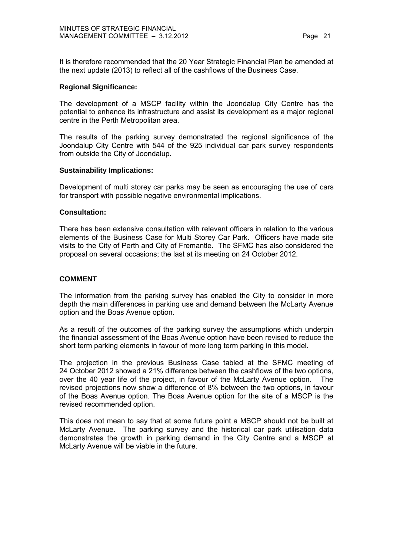It is therefore recommended that the 20 Year Strategic Financial Plan be amended at the next update (2013) to reflect all of the cashflows of the Business Case.

## **Regional Significance:**

The development of a MSCP facility within the Joondalup City Centre has the potential to enhance its infrastructure and assist its development as a major regional centre in the Perth Metropolitan area.

The results of the parking survey demonstrated the regional significance of the Joondalup City Centre with 544 of the 925 individual car park survey respondents from outside the City of Joondalup.

## **Sustainability Implications:**

Development of multi storey car parks may be seen as encouraging the use of cars for transport with possible negative environmental implications.

#### **Consultation:**

There has been extensive consultation with relevant officers in relation to the various elements of the Business Case for Multi Storey Car Park. Officers have made site visits to the City of Perth and City of Fremantle. The SFMC has also considered the proposal on several occasions; the last at its meeting on 24 October 2012.

## **COMMENT**

The information from the parking survey has enabled the City to consider in more depth the main differences in parking use and demand between the McLarty Avenue option and the Boas Avenue option.

As a result of the outcomes of the parking survey the assumptions which underpin the financial assessment of the Boas Avenue option have been revised to reduce the short term parking elements in favour of more long term parking in this model.

The projection in the previous Business Case tabled at the SFMC meeting of 24 October 2012 showed a 21% difference between the cashflows of the two options, over the 40 year life of the project, in favour of the McLarty Avenue option. The revised projections now show a difference of 8% between the two options, in favour of the Boas Avenue option. The Boas Avenue option for the site of a MSCP is the revised recommended option.

This does not mean to say that at some future point a MSCP should not be built at McLarty Avenue. The parking survey and the historical car park utilisation data demonstrates the growth in parking demand in the City Centre and a MSCP at McLarty Avenue will be viable in the future.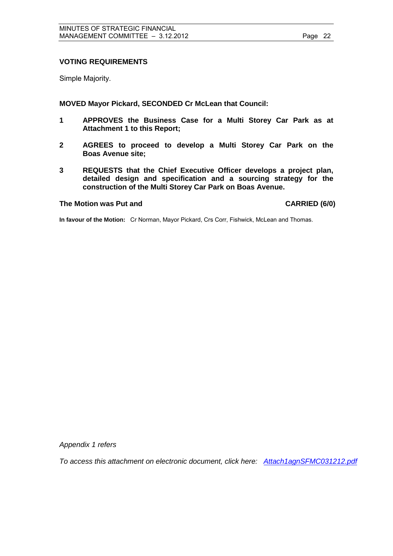## **VOTING REQUIREMENTS**

Simple Majority.

**MOVED Mayor Pickard, SECONDED Cr McLean that Council:** 

- **1 APPROVES the Business Case for a Multi Storey Car Park as at Attachment 1 to this Report;**
- **2 AGREES to proceed to develop a Multi Storey Car Park on the Boas Avenue site;**
- **3 REQUESTS that the Chief Executive Officer develops a project plan, detailed design and specification and a sourcing strategy for the construction of the Multi Storey Car Park on Boas Avenue.**

#### The Motion was Put and **CARRIED** (6/0)

**In favour of the Motion:** Cr Norman, Mayor Pickard, Crs Corr, Fishwick, McLean and Thomas.

*Appendix 1 refers* 

*To access this attachment on electronic document, click h[ere: Attach1agnSFMC031212.pdf](Attach1agnSFMC031212.pdf)*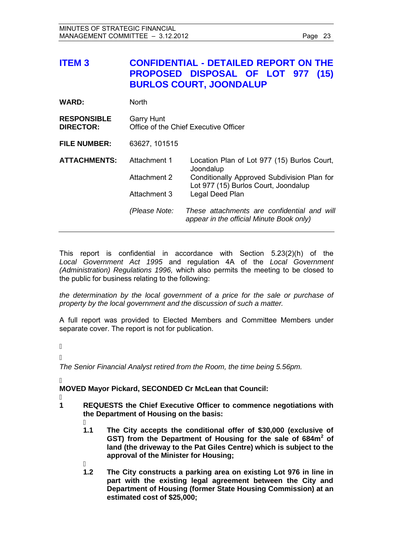<span id="page-22-0"></span>

| <b>ITEM3</b>                           |                              | <b>CONFIDENTIAL - DETAILED REPORT ON THE</b><br>PROPOSED DISPOSAL OF LOT 977<br>(15)<br><b>BURLOS COURT, JOONDALUP</b> |
|----------------------------------------|------------------------------|------------------------------------------------------------------------------------------------------------------------|
| <b>WARD:</b>                           | <b>North</b>                 |                                                                                                                        |
| <b>RESPONSIBLE</b><br><b>DIRECTOR:</b> | <b>Garry Hunt</b>            | Office of the Chief Executive Officer                                                                                  |
| <b>FILE NUMBER:</b>                    | 63627, 101515                |                                                                                                                        |
| <b>ATTACHMENTS:</b>                    | Attachment 1<br>Attachment 2 | Location Plan of Lot 977 (15) Burlos Court,<br>Joondalup<br>Conditionally Approved Subdivision Plan for                |
|                                        | Attachment 3                 | Lot 977 (15) Burlos Court, Joondalup<br>Legal Deed Plan                                                                |
|                                        | (Please Note:                | These attachments are confidential and will<br>appear in the official Minute Book only)                                |

This report is confidential in accordance with Section 5.23(2)(h) of the *Local Government Act 1995* and regulation 4A of the *Local Government (Administration) Regulations 1996,* which also permits the meeting to be closed to the public for business relating to the following:

*the determination by the local government of a price for the sale or purchase of property by the local government and the discussion of such a matter.* 

A full report was provided to Elected Members and Committee Members under separate cover. The report is not for publication.

- $\overline{\phantom{a}}$
- Á

*The Senior Financial Analyst retired from the Room, the time being 5.56pm.*

j **MOVED Mayor Pickard, SECONDED Cr McLean that Council:** 

- j **1 REQUESTS the Chief Executive Officer to commence negotiations with the Department of Housing on the basis:** 
	- $1.1$ **1.1 The City accepts the conditional offer of \$30,000 (exclusive of**  GST) from the Department of Housing for the sale of 684m<sup>2</sup> of **land (the driveway to the Pat Giles Centre) which is subject to the approval of the Minister for Housing;**
	- j **1.2 The City constructs a parking area on existing Lot 976 in line in part with the existing legal agreement between the City and Department of Housing (former State Housing Commission) at an estimated cost of \$25,000;**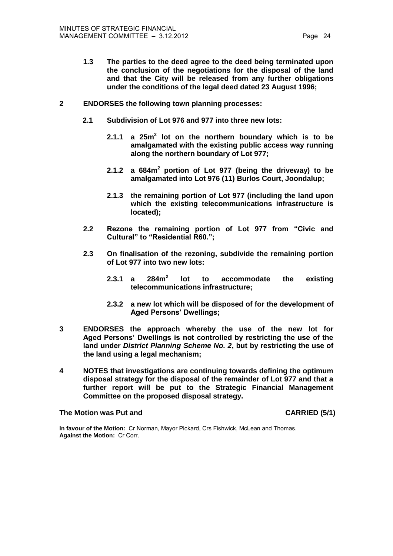- **1.3 The parties to the deed agree to the deed being terminated upon the conclusion of the negotiations for the disposal of the land and that the City will be released from any further obligations under the conditions of the legal deed dated 23 August 1996;**
- **2 ENDORSES the following town planning processes:** 
	- **2.1 Subdivision of Lot 976 and 977 into three new lots:** 
		- **2.1.1 a 25m<sup>2</sup> lot on the northern boundary which is to be amalgamated with the existing public access way running along the northern boundary of Lot 977;**
		- **2.1.2 a 684m<sup>2</sup> portion of Lot 977 (being the driveway) to be amalgamated into Lot 976 (11) Burlos Court, Joondalup;**
		- **2.1.3 the remaining portion of Lot 977 (including the land upon which the existing telecommunications infrastructure is located);**
	- **2.2 Rezone the remaining portion of Lot 977 from "Civic and Cultural" to "Residential R60.";**
	- **2.3 On finalisation of the rezoning, subdivide the remaining portion of Lot 977 into two new lots:** 
		- **2.3.1 a 284m<sup>2</sup> lot to accommodate the existing telecommunications infrastructure;**
		- **2.3.2 a new lot which will be disposed of for the development of Aged Persons' Dwellings;**
- **3 ENDORSES the approach whereby the use of the new lot for Aged Persons' Dwellings is not controlled by restricting the use of the land under** *District Planning Scheme No. 2***, but by restricting the use of the land using a legal mechanism;**
- **4 NOTES that investigations are continuing towards defining the optimum disposal strategy for the disposal of the remainder of Lot 977 and that a further report will be put to the Strategic Financial Management Committee on the proposed disposal strategy.**

**The Motion was Put and CARRIED (5/1)** 

**In favour of the Motion:** Cr Norman, Mayor Pickard, Crs Fishwick, McLean and Thomas. **Against the Motion:** Cr Corr.